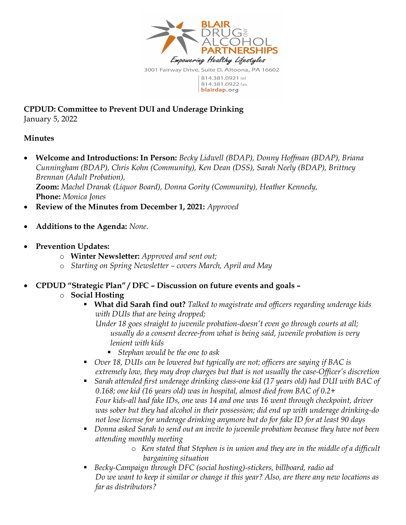

CPDUD: Committee to Prevent DUI and Underage Drinking January 5, 2022

### Minutes

- Welcome and Introductions: In Person: Becky Lidwell (BDAP), Donny Hoffman (BDAP), Briana Cunningham (BDAP), Chris Kohn (Community), Ken Dean (DSS), Sarah Neely (BDAP), Brittney Brennan (Adult Probation), Zoom: Machel Dranak (Liquor Board), Donna Gority (Community), Heather Kennedy, Phone: Monica Jones
- Review of the Minutes from December 1, 2021: Approved
- Additions to the Agenda: None.
- Prevention Updates:
	- o Winter Newsletter: Approved and sent out;
	- o Starting on Spring Newsletter covers March, April and May
- CPDUD "Strategic Plan" / DFC Discussion on future events and goals
	- o Social Hosting
		- What did Sarah find out? Talked to magistrate and officers regarding underage kids with DUIs that are being dropped;

Under 18 goes straight to juvenile probation-doesn't even go through courts at all; usually do a consent decree-from what is being said, juvenile probation is very lenient with kids

- Stephan would be the one to ask
- Over 18, DUIs can be lowered but typically are not; officers are saying if BAC is extremely low, they may drop charges but that is not usually the case-Officer's discretion
- Sarah attended first underage drinking class-one kid (17 years old) had DUI with BAC of 0.168; one kid (16 years old) was in hospital, almost died from BAC of 0.2+ Four kids-all had fake IDs, one was 14 and one was 16 went through checkpoint, driver was sober but they had alcohol in their possession; did end up with underage drinking-do not lose license for underage drinking anymore but do for fake ID for at least 90 days
- Donna asked Sarah to send out an invite to juvenile probation because they have not been attending monthly meeting
	- o Ken stated that Stephen is in union and they are in the middle of a difficult bargaining situation
- Becky-Campaign through DFC (social hosting)-stickers, billboard, radio ad Do we want to keep it similar or change it this year? Also, are there any new locations as far as distributors?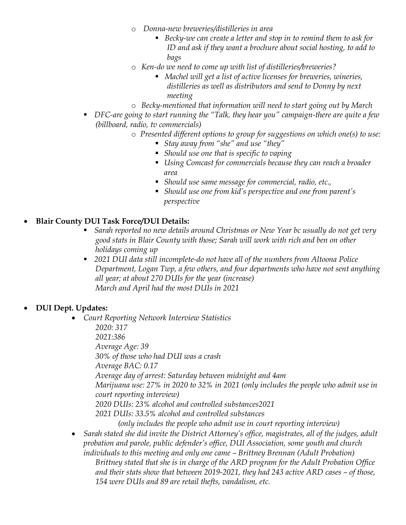- o Donna-new breweries/distilleries in area
	- Becky-we can create a letter and stop in to remind them to ask for ID and ask if they want a brochure about social hosting, to add to bags
- o Ken-do we need to come up with list of distilleries/breweries?
	- Machel will get a list of active licenses for breweries, wineries, distilleries as well as distributors and send to Donny by next meeting
- o Becky-mentioned that information will need to start going out by March
- **•** DFC-are going to start running the "Talk, they hear you" campaign-there are quite a few (billboard, radio, tv commercials)
	- o Presented different options to group for suggestions on which one(s) to use:
		- Stay away from "she" and use "they"
		- Should use one that is specific to vaping
		- Using Comcast for commercials because they can reach a broader area
		- Should use same message for commercial, radio, etc.,
		- Should use one from kid's perspective and one from parent's perspective

#### Blair County DUI Task Force/DUI Details:

- **Sarah reported no new details around Christmas or New Year bc usually do not get very** good stats in Blair County with those; Sarah will work with rich and ben on other holidays coming up
- 2021 DUI data still incomplete-do not have all of the numbers from Altoona Police Department, Logan Twp, a few others, and four departments who have not sent anything all year; at about 270 DUIs for the year (increase) March and April had the most DUIs in 2021

### DUI Dept. Updates:

- Court Reporting Network Interview Statistics 2020: 317 2021:386 Average Age: 39 30% of those who had DUI was a crash Average BAC: 0.17 Average day of arrest: Saturday between midnight and 4am Marijuana use: 27% in 2020 to 32% in 2021 (only includes the people who admit use in court reporting interview) 2020 DUIs: 23% alcohol and controlled substances2021 2021 DUIs: 33.5% alcohol and controlled substances (only includes the people who admit use in court reporting interview)
- Sarah stated she did invite the District Attorney's office, magistrates, all of the judges, adult probation and parole, public defender's office, DUI Association, some youth and church individuals to this meeting and only one came – Brittney Brennan (Adult Probation) Brittney stated that she is in charge of the ARD program for the Adult Probation Office and their stats show that between 2019-2021, they had 243 active ARD cases – of those, 154 were DUIs and 89 are retail thefts, vandalism, etc.